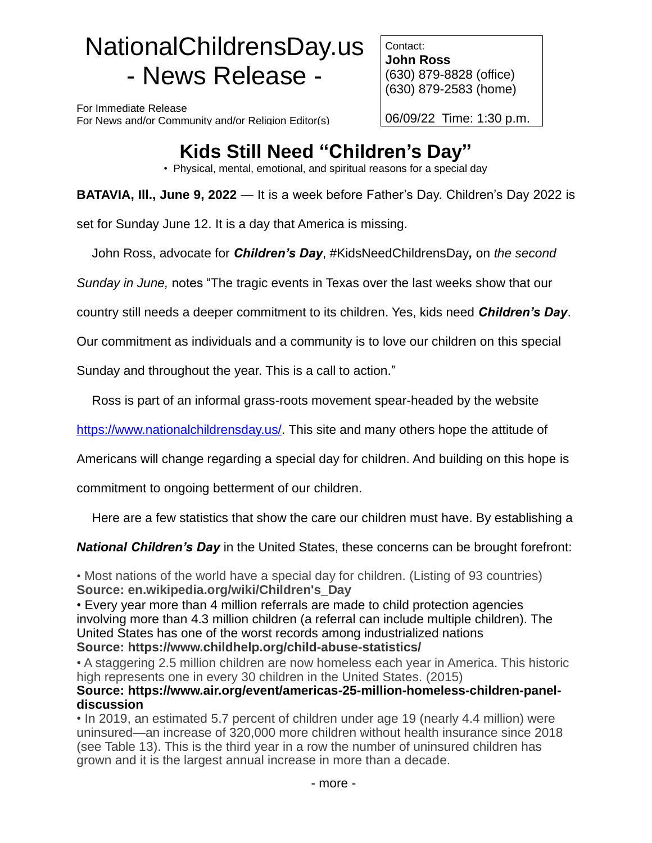# NationalChildrensDay.us - News Release -

For Immediate Release For News and/or Community and/or Religion Editor(s)

Contact: **John Ross** (630) 879-8828 (office) (630) 879-2583 (home)

06/09/22 Time: 1:30 p.m.

# **Kids Still Need "Children's Day"**

• Physical, mental, emotional, and spiritual reasons for a special day

**BATAVIA, Ill., June 9, 2022** — It is a week before Father's Day. Children's Day 2022 is

set for Sunday June 12. It is a day that America is missing.

John Ross, advocate for *Children's Day*, #KidsNeedChildrensDay*,* on *the second* 

*Sunday in June,* notes "The tragic events in Texas over the last weeks show that our

country still needs a deeper commitment to its children. Yes, kids need *Children's Day*.

Our commitment as individuals and a community is to love our children on this special

Sunday and throughout the year. This is a call to action."

Ross is part of an informal grass-roots movement spear-headed by the website

[https://www.nationalchildrensday.us/.](https://www.nationalchildrensday.us/) This site and many others hope the attitude of

Americans will change regarding a special day for children. And building on this hope is

commitment to ongoing betterment of our children.

Here are a few statistics that show the care our children must have. By establishing a

*National Children's Day* in the United States, these concerns can be brought forefront:

• Most nations of the world have a special day for children. (Listing of 93 countries) **Source: en.wikipedia.org/wiki/Children's\_Day**

• Every year more than 4 million referrals are made to child protection agencies involving more than 4.3 million children (a referral can include multiple children). The United States has one of the worst records among industrialized nations **Source: https://www.childhelp.org/child-abuse-statistics/**

• A staggering 2.5 million children are now homeless each year in America. This historic high represents one in every 30 children in the United States. (2015)

## **Source: https://www.air.org/event/americas-25-million-homeless-children-paneldiscussion**

• In 2019, an estimated 5.7 percent of children under age 19 (nearly 4.4 million) were uninsured—an increase of 320,000 more children without health insurance since 2018 (see Table 13). This is the third year in a row the number of uninsured children has grown and it is the largest annual increase in more than a decade.